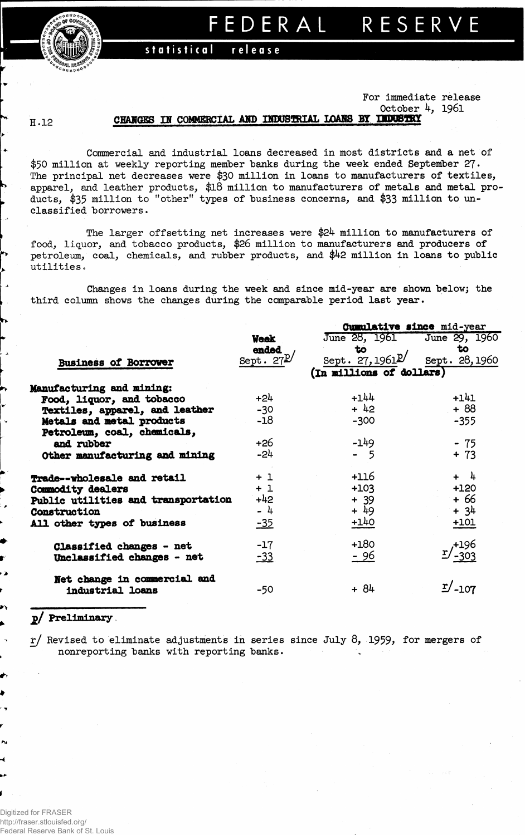FEDERAL RESERV



## **statistica l releas e**

### **For immediate release**

**October 4, 1961**

### **H .12**

# **CHANGES Hf COMMERCIAL AHD INDUSTRIAL XOAKS BY UDDSTBY**

**Commercial and industrial loans decreased in most districts and a net of \$50 million at weekly reporting member banks during the week ended September 27• The principal net decreases were \$30 million in loans to manufacturers of textiles, apparel, and leather products, \$18 million to manufacturers of metals and metal products, \$35 million to "other" types of "business concerns, and \$33 million to unclassified borrowers.**

**The larger offsetting net increases were \$24 million to manufacturers of food, liquor, and tobacco products, \$26 million to manufacturers and producers of petroleum, coal, chemicals, and rubber products, and \$42 million in loans to public utilities.** 

**Changes in loans during the week and since mid-year are shown below; the third column shows the changes during the comparable period last year.**

|                                                  |                             | Cumulative since mid-year    |                  |  |  |  |  |  |
|--------------------------------------------------|-----------------------------|------------------------------|------------------|--|--|--|--|--|
|                                                  | <b>Veek</b>                 | June 28, 1961                | June 29, 1960    |  |  |  |  |  |
|                                                  | ended                       | to                           | to               |  |  |  |  |  |
| <b>Business of Borrower</b>                      | Sept. $27^{\underline{p}}/$ | Sept. 27, 1961 $\mathbb{P}'$ | Sept. 28, 1960   |  |  |  |  |  |
|                                                  |                             | (In millions of dollars)     |                  |  |  |  |  |  |
| Manufacturing and mining:                        |                             |                              |                  |  |  |  |  |  |
| Food, liquor, and tobacco                        | +24                         | $+144$                       | $+141$           |  |  |  |  |  |
| Textiles, apparel, and leather                   | $-30$                       | $+ 42$                       | $+88$            |  |  |  |  |  |
| Metals and metal products                        | $-18$                       | $-300$                       | $-355$           |  |  |  |  |  |
| Petroleum, coal, chemicals,                      |                             |                              |                  |  |  |  |  |  |
| and rubber                                       | +26                         | $-149$                       | $-75$            |  |  |  |  |  |
| Other manufacturing and mining                   | $-24$                       | $-5$                         | $+ 73$           |  |  |  |  |  |
| Trade--wholesale and retail                      | $+1$                        | $+116$                       | $+ 4$            |  |  |  |  |  |
| Commodity dealers                                | $+1$                        | $+103$                       | $+120$           |  |  |  |  |  |
| Public utilities and transportation              | $+42$                       | $+ 39$                       | + 66             |  |  |  |  |  |
| Construction                                     | - 4                         | + 49                         | $+34$            |  |  |  |  |  |
| All other types of business                      | $-35$                       | $+140$                       | $+101$           |  |  |  |  |  |
| Classified changes - net                         | $-17$                       | $+180$                       | r/+196<br>303-   |  |  |  |  |  |
| Unclassified changes - net                       | $-33$                       | $-96$                        |                  |  |  |  |  |  |
| Net change in commercial and<br>industrial loans | -50                         | $+84$                        | $\frac{r}{-107}$ |  |  |  |  |  |
|                                                  |                             |                              |                  |  |  |  |  |  |

## **jg/ Preliminary**

**xj Revised to eliminate adjustments in series since July 8, 1959\* for mergers of nonreporting banks with reporting banks. v**